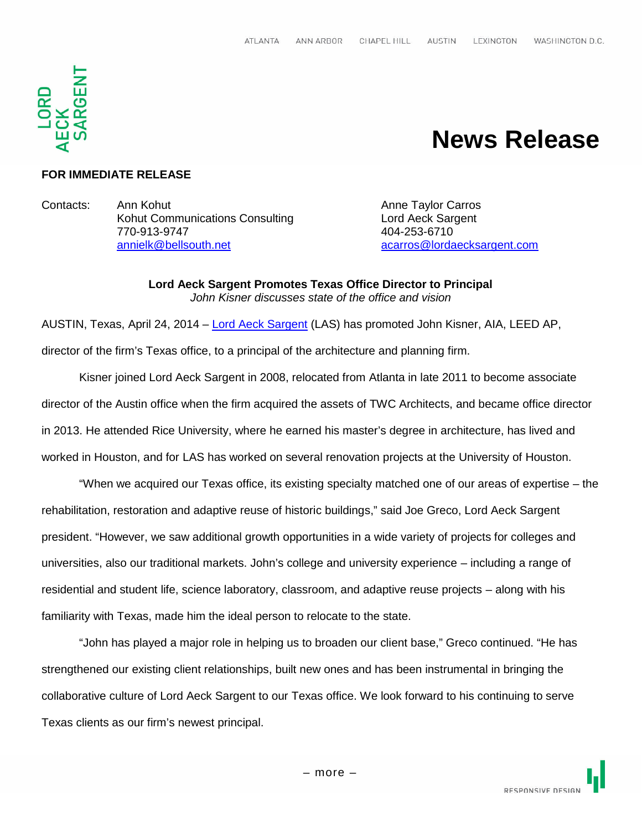

# **News Release**

## **FOR IMMEDIATE RELEASE**

Contacts: Ann Kohut Anne Taylor Carros Kohut Communications Consulting **Lord Aeck Sargent** 770-913-9747 404-253-6710 annielk@bellsouth.net acarros@lordaecksargent.com

**Lord Aeck Sargent Promotes Texas Office Director to Principal** *John Kisner discusses state of the office and vision*

AUSTIN, Texas, April 24, 2014 – Lord Aeck Sargent (LAS) has promoted John Kisner, AIA, LEED AP, director of the firm's Texas office, to a principal of the architecture and planning firm.

Kisner joined Lord Aeck Sargent in 2008, relocated from Atlanta in late 2011 to become associate director of the Austin office when the firm acquired the assets of TWC Architects, and became office director in 2013. He attended Rice University, where he earned his master's degree in architecture, has lived and worked in Houston, and for LAS has worked on several renovation projects at the University of Houston.

"When we acquired our Texas office, its existing specialty matched one of our areas of expertise – the rehabilitation, restoration and adaptive reuse of historic buildings," said Joe Greco, Lord Aeck Sargent president. "However, we saw additional growth opportunities in a wide variety of projects for colleges and universities, also our traditional markets. John's college and university experience – including a range of residential and student life, science laboratory, classroom, and adaptive reuse projects – along with his familiarity with Texas, made him the ideal person to relocate to the state.

"John has played a major role in helping us to broaden our client base," Greco continued. "He has strengthened our existing client relationships, built new ones and has been instrumental in bringing the collaborative culture of Lord Aeck Sargent to our Texas office. We look forward to his continuing to serve Texas clients as our firm's newest principal.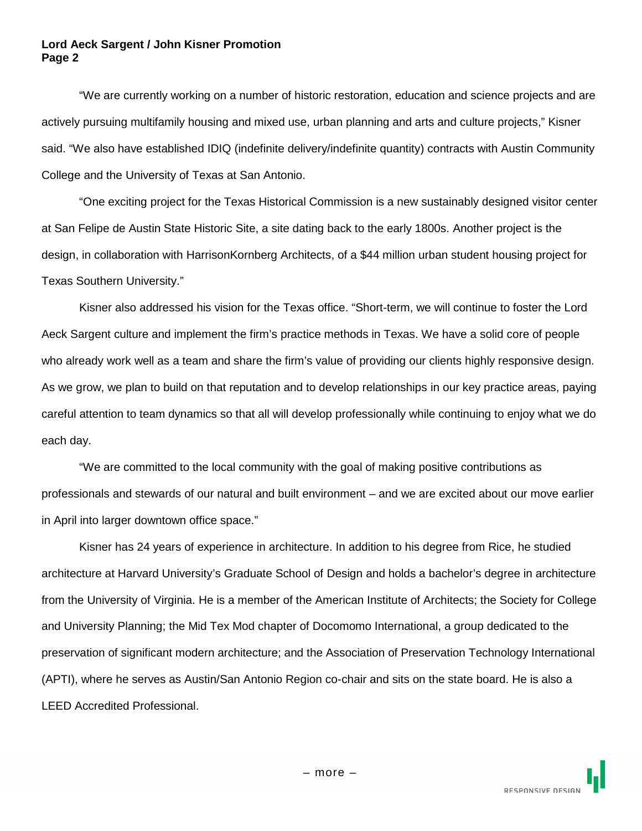#### **Lord Aeck Sargent / John Kisner Promotion Page 2**

"We are currently working on a number of historic restoration, education and science projects and are actively pursuing multifamily housing and mixed use, urban planning and arts and culture projects," Kisner said. "We also have established IDIQ (indefinite delivery/indefinite quantity) contracts with Austin Community College and the University of Texas at San Antonio.

"One exciting project for the Texas Historical Commission is a new sustainably designed visitor center at San Felipe de Austin State Historic Site, a site dating back to the early 1800s. Another project is the design, in collaboration with HarrisonKornberg Architects, of a \$44 million urban student housing project for Texas Southern University."

Kisner also addressed his vision for the Texas office. "Short-term, we will continue to foster the Lord Aeck Sargent culture and implement the firm's practice methods in Texas. We have a solid core of people who already work well as a team and share the firm's value of providing our clients highly responsive design. As we grow, we plan to build on that reputation and to develop relationships in our key practice areas, paying careful attention to team dynamics so that all will develop professionally while continuing to enjoy what we do each day.

"We are committed to the local community with the goal of making positive contributions as professionals and stewards of our natural and built environment – and we are excited about our move earlier in April into larger downtown office space."

Kisner has 24 years of experience in architecture. In addition to his degree from Rice, he studied architecture at Harvard University's Graduate School of Design and holds a bachelor's degree in architecture from the University of Virginia. He is a member of the American Institute of Architects; the Society for College and University Planning; the Mid Tex Mod chapter of Docomomo International, a group dedicated to the preservation of significant modern architecture; and the Association of Preservation Technology International (APTI), where he serves as Austin/San Antonio Region co-chair and sits on the state board. He is also a LEED Accredited Professional.